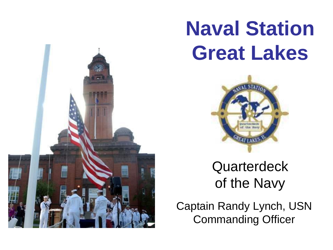

# **Naval Station Great Lakes**



**Quarterdeck** of the Navy

Captain Randy Lynch, USN Commanding Officer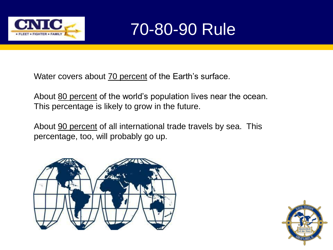



Water covers about 70 percent of the Earth's surface.

About 80 percent of the world's population lives near the ocean. This percentage is likely to grow in the future.

About 90 percent of all international trade travels by sea. This percentage, too, will probably go up.



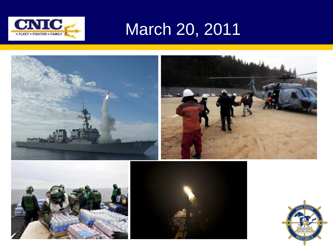

# March 20, 2011

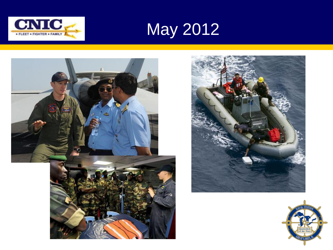



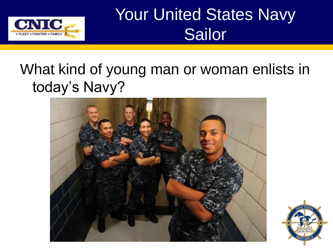

# Your United States Navy Sailor

## What kind of young man or woman enlists in today's Navy?



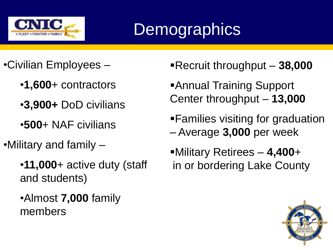

# **Demographics**

- •Civilian Employees
	- •**1,600**+ contractors
	- •**3,900+** DoD civilians
	- •**500**+ NAF civilians
- •Military and family
	- •**11,000**+ active duty (staff and students)
	- •Almost **7,000** family members
- Recruit throughput **38,000**
- Annual Training Support Center throughput – **13,000**
- Families visiting for graduation – Average **3,000** per week
- Military Retirees **4,400**+ in or bordering Lake County

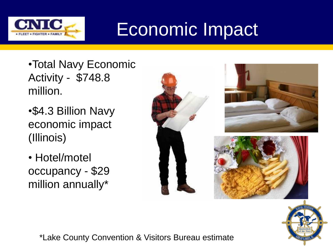

# Economic Impact

- •Total Navy Economic Activity - \$748.8 million.
- •\$4.3 Billion Navy economic impact (Illinois)
- Hotel/motel occupancy - \$29 million annually\*





\*Lake County Convention & Visitors Bureau estimate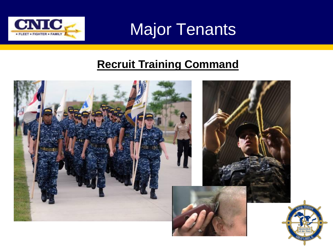

Major Tenants

## **Recruit Training Command**

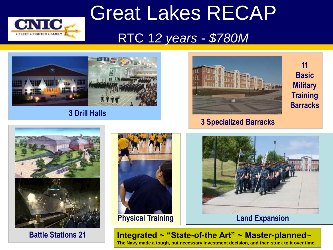

# Great Lakes RECAP RTC 1*2 years - \$780M*



#### **3 Drill Halls**



**[3](http://www1.netc.navy.mil/nstc/rtcgl/recruits/index.html) Specialized Barracks**

**11 Basic Military Training Barracks**



**Battle Stations 21**





**Integrated ~ "State-of-the Art" ~ Master-planned~ The Navy made a tough, but necessary investment decision, and then stuck to it over time.**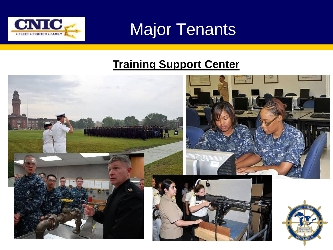

Major Tenants

## **Training Support Center**

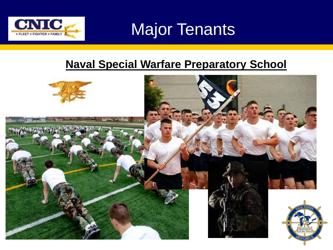

Major Tenants

### **Naval Special Warfare Preparatory School**

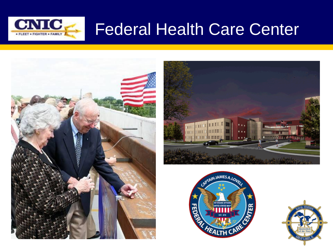

## Federal Health Care Center